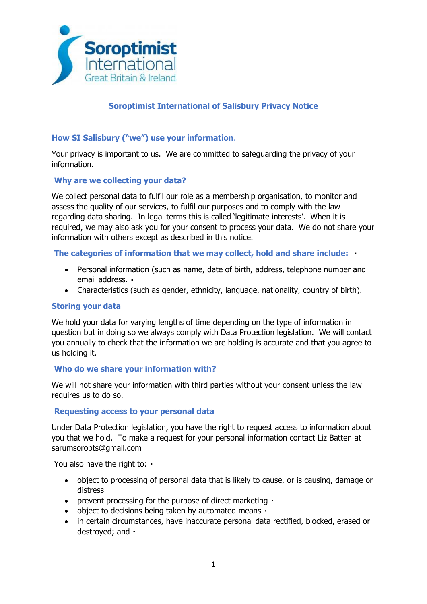

# **Soroptimist International of Salisbury Privacy Notice**

## **How SI Salisbury ("we") use your information**.

Your privacy is important to us. We are committed to safeguarding the privacy of your information.

### **Why are we collecting your data?**

We collect personal data to fulfil our role as a membership organisation, to monitor and assess the quality of our services, to fulfil our purposes and to comply with the law regarding data sharing. In legal terms this is called 'legitimate interests'. When it is required, we may also ask you for your consent to process your data. We do not share your information with others except as described in this notice.

### **The categories of information that we may collect, hold and share include:**

- Personal information (such as name, date of birth, address, telephone number and email address.
- Characteristics (such as gender, ethnicity, language, nationality, country of birth).

### **Storing your data**

We hold your data for varying lengths of time depending on the type of information in question but in doing so we always comply with Data Protection legislation. We will contact you annually to check that the information we are holding is accurate and that you agree to us holding it.

### **Who do we share your information with?**

We will not share your information with third parties without your consent unless the law requires us to do so.

### **Requesting access to your personal data**

Under Data Protection legislation, you have the right to request access to information about you that we hold. To make a request for your personal information contact Liz Batten at sarumsoropts@gmail.com

You also have the right to:  $\cdot$ 

- object to processing of personal data that is likely to cause, or is causing, damage or distress
- prevent processing for the purpose of direct marketing •
- object to decisions being taken by automated means  $\cdot$
- in certain circumstances, have inaccurate personal data rectified, blocked, erased or destroyed; and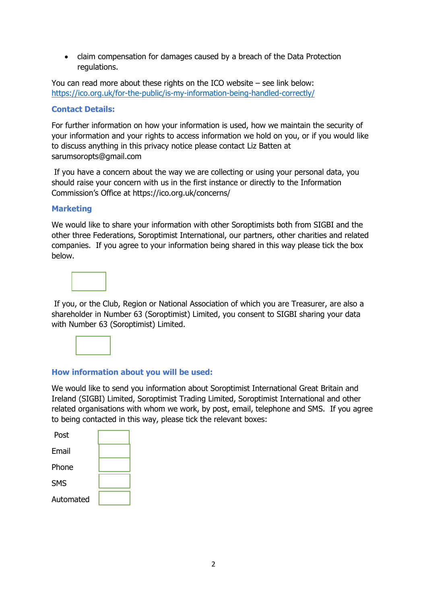• claim compensation for damages caused by a breach of the Data Protection regulations.

You can read more about these rights on the ICO website – see link below: <https://ico.org.uk/for-the-public/is-my-information-being-handled-correctly/>

## **Contact Details:**

For further information on how your information is used, how we maintain the security of your information and your rights to access information we hold on you, or if you would like to discuss anything in this privacy notice please contact Liz Batten at sarumsoropts@gmail.com

If you have a concern about the way we are collecting or using your personal data, you should raise your concern with us in the first instance or directly to the Information Commission's Office at https://ico.org.uk/concerns/

## **Marketing**

We would like to share your information with other Soroptimists both from SIGBI and the other three Federations, Soroptimist International, our partners, other charities and related companies. If you agree to your information being shared in this way please tick the box below.



If you, or the Club, Region or National Association of which you are Treasurer, are also a shareholder in Number 63 (Soroptimist) Limited, you consent to SIGBI sharing your data with Number 63 (Soroptimist) Limited.



## **How information about you will be used:**

We would like to send you information about Soroptimist International Great Britain and Ireland (SIGBI) Limited, Soroptimist Trading Limited, Soroptimist International and other related organisations with whom we work, by post, email, telephone and SMS. If you agree to being contacted in this way, please tick the relevant boxes:

| Post       |  |
|------------|--|
| Email      |  |
| Phone      |  |
| <b>SMS</b> |  |
| Automated  |  |